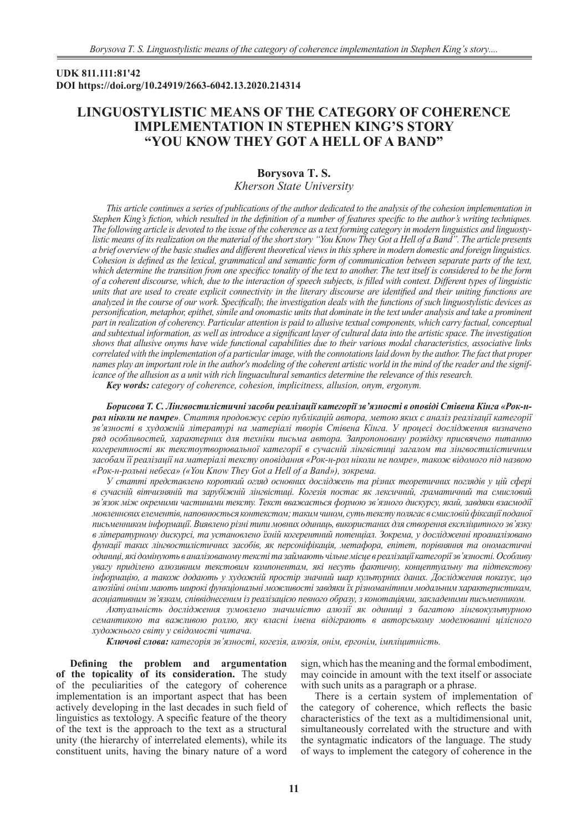## **UDK 811.111:81'42 DOI https://doi.org/10.24919/2663-6042.13.2020.214314**

# **LINGUOSTYLISTIC MEANS OF THE CATEGORY OF COHERENCE IMPLEMENTATION IN STEPHEN KING'S STORY "YOU KNOW THEY GOT A HELL OF A BAND"**

# **Borysova T. S.**

*Kherson State University*

*This article continues a series of publications of the author dedicated to the analysis of the cohesion implementation in Stephen King's fiction, which resulted in the definition of a number of features specific to the author's writing techniques. The following article is devoted to the issue of the coherence as a text forming category in modern linguistics and linguostylistic means of its realization on the material of the short story "You Know They Got a Hell of a Band". The article presents a brief overview of the basic studies and different theoretical views in this sphere in modern domestic and foreign linguistics. Cohesion is defined as the lexical, grammatical and semantic form of communication between separate parts of the text, which determine the transition from one specificс tonality of the text to another. The text itself is considered to be the form of a coherent discourse, which, due to the interaction of speech subjects, is filled with context. Different types of linguistic units that are used to create explicit connectivity in the literary discourse are identified and their uniting functions are analyzed in the course of our work. Specifically, the investigation deals with the functions of such linguostylistic devices as personification, metaphor, epithet, simile and onomastic units that dominate in the text under analysis and take a prominent part in realization of coherency. Particular attention is paid to allusive textual components, which carry factual, conceptual and subtextual information, as well as introduce a significant layer of cultural data into the artistic space. The investigation shows that allusive onyms have wide functional capabilities due to their various modal characteristics, associative links correlated with the implementation of a particular image, with the connotations laid down by the author. The fact that proper names play an important role in the author's modeling of the coherent artistic world in the mind of the reader and the significance of the allusion as a unit with rich linguacultural semantics determine the relevance of this research.*

*Key words: category of coherence, cohesion, implicitness, allusion, onym, ergonym.*

*Борисова Т. С. Лінгвостилістичні засоби реалізації категорії зв'язності в оповіді Стівена Кінга «Рок-нрол ніколи не помре». Стаття продовжує серію публікацій автора, метою яких є аналіз реалізації категорії зв'язності в художній літературі на матеріалі творів Стівена Кінга. У процесі дослідження визначено ряд особливостей, характерних для техніки письма автора. Запропоновану розвідку присвячено питанню когерентності як текстоутворювальної категорії в сучасній лінгвістиці загалом та лінгвостилістичним засобам її реалізації на матеріалі тексту оповідання «Рок-н-рол ніколи не помре», також відомого під назвою «Рок-н-рольні небеса» («You Know They Got a Hell of a Band»), зокрема.* 

*У статті представлено короткий огляд основних досліджень та різних теоретичних поглядів у цій сфері в сучасній вітчизняній та зарубіжній лінгвістиці. Когезія постає як лексичний, граматичний та смисловий зв'язок між окремими частинами тексту. Текст вважається формою зв'язного дискурсу, який, завдяки взаємодії мовленнєвих елементів, наповнюється контекстом; таким чином, суть тексту полягає в смисловій фіксації поданої письменником інформації. Виявлено різні типи мовних одиниць, використаних для створення експліцитного зв'язку в літературному дискурсі, та установлено їхній когерентний потенціал. Зокрема, у дослідженні проаналізовано функції таких лінгвостилістичних засобів, як персоніфікація, метафора, епітет, порівняння та ономастичні одиниці, які домінують в аналізованому тексті та займають чільне місце в реалізації категорії зв'язності. Особливу увагу приділено алюзивним текстовим компонентам, які несуть фактичну, концептуальну та підтекстову інформацію, а також додають у художній простір значний шар культурних даних. Дослідження показує, що алюзійні оніми мають широкі функціональні можливості завдяки їх різноманітним модальним характеристикам, асоціативним зв'язкам, співвіднесеним із реалізацією певного образу, з конотаціями, закладеними письменником.* 

*Актуальність дослідження зумовлено значимістю алюзії як одиниці з багатою лінгвокультурною семантикою та важливою роллю, яку власні імена відіграють в авторському моделюванні цілісного художнього світу у свідомості читача.*

*Ключові слова: категорія зв'язності, когезія, алюзія, онім, ергонім, імпліцитність.*

**Defining the problem and argumentation of the topicality of its consideration.** The study of the peculiarities of the category of coherence implementation is an important aspect that has been actively developing in the last decades in such field of linguistics as textology. A specific feature of the theory of the text is the approach to the text as a structural unity (the hierarchy of interrelated elements), while its constituent units, having the binary nature of a word

sign, which has the meaning and the formal embodiment, may coincide in amount with the text itself or associate with such units as a paragraph or a phrase.

There is a certain system of implementation of the category of coherence, which reflects the basic characteristics of the text as a multidimensional unit, simultaneously correlated with the structure and with the syntagmatic indicators of the language. The study of ways to implement the category of coherence in the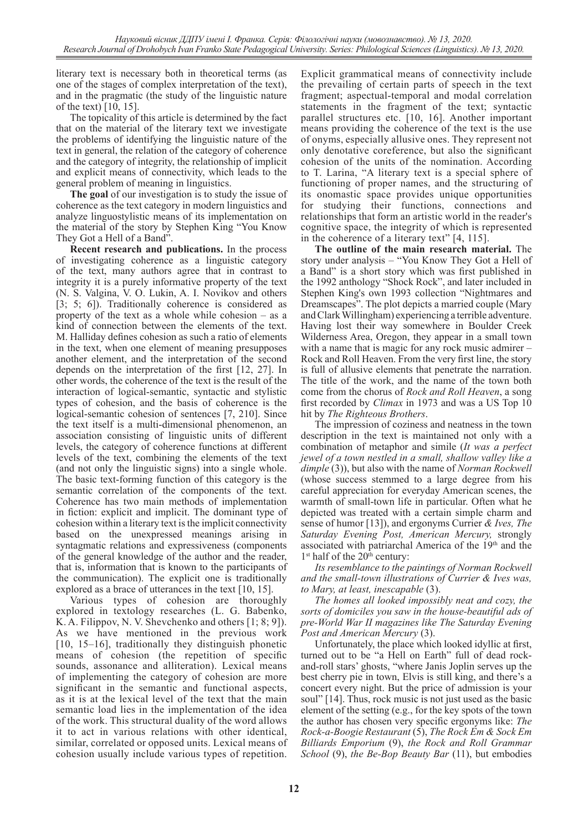literary text is necessary both in theoretical terms (as one of the stages of complex interpretation of the text), and in the pragmatic (the study of the linguistic nature of the text) [10, 15].

The topicality of this article is determined by the fact that on the material of the literary text we investigate the problems of identifying the linguistic nature of the text in general, the relation of the category of coherence and the category of integrity, the relationship of implicit and explicit means of connectivity, which leads to the general problem of meaning in linguistics.

**The goal** of our investigation is to study the issue of coherence as the text category in modern linguistics and analyze linguostylistic means of its implementation on the material of the story by Stephen King "You Know They Got a Hell of a Band".

**Recent research and publications.** In the process of investigating coherence as a linguistic category of the text, many authors agree that in contrast to integrity it is a purely informative property of the text (N. S. Valgina, V. O. Lukin, A. I. Novikov and others [3; 5; 6]). Traditionally coherence is considered as property of the text as a whole while cohesion – as a kind of connection between the elements of the text. M. Halliday defines cohesion as such a ratio of elements in the text, when one element of meaning presupposes another element, and the interpretation of the second depends on the interpretation of the first [12, 27]. In other words, the coherence of the text is the result of the interaction of logical-semantic, syntactic and stylistic types of cohesion, and the basis of coherence is the logical-semantic cohesion of sentences [7, 210]. Since the text itself is a multi-dimensional phenomenon, an association consisting of linguistic units of different levels, the category of coherence functions at different levels of the text, combining the elements of the text (and not only the linguistic signs) into a single whole. The basic text-forming function of this category is the semantic correlation of the components of the text. Coherence has two main methods of implementation in fiction: explicit and implicit. The dominant type of cohesion within a literary text is the implicit connectivity based on the unexpressed meanings arising in syntagmatic relations and expressiveness (components of the general knowledge of the author and the reader, that is, information that is known to the participants of the communication). The explicit one is traditionally explored as a brace of utterances in the text [10, 15].

Various types of cohesion are thoroughly explored in textology researches (L. G. Babenko, K. A. Filippov, N. V. Shevchenko and others [1; 8; 9]). As we have mentioned in the previous work [10, 15–16], traditionally they distinguish phonetic means of cohesion (the repetition of specific sounds, assonance and alliteration). Lexical means of implementing the category of cohesion are more significant in the semantic and functional aspects, as it is at the lexical level of the text that the main semantic load lies in the implementation of the idea of the work. This structural duality of the word allows it to act in various relations with other identical, similar, correlated or opposed units. Lexical means of cohesion usually include various types of repetition.

Explicit grammatical means of connectivity include the prevailing of certain parts of speech in the text fragment; aspectual-temporal and modal correlation statements in the fragment of the text; syntactic parallel structures etc. [10, 16]. Another important means providing the coherence of the text is the use of onyms, especially allusive ones. They represent not only denotative coreference, but also the significant cohesion of the units of the nomination. According to T. Larina, "A literary text is a special sphere of functioning of proper names, and the structuring of its onomastic space provides unique opportunities for studying their functions, connections and relationships that form an artistic world in the reader's cognitive space, the integrity of which is represented in the coherence of a literary text" [4, 115].

**The outline of the main research material.** The story under analysis – "You Know They Got a Hell of a Band" is a short story which was first published in the 1992 anthology "Shock Rock", and later included in Stephen King's own 1993 collection "Nightmares and Dreamscapes". The plot depicts a married couple (Mary and Clark Willingham) experiencing a terrible adventure. Having lost their way somewhere in Boulder Creek Wilderness Area, Oregon, they appear in a small town with a name that is magic for any rock music admirer – Rock and Roll Heaven. From the very first line, the story is full of allusive elements that penetrate the narration. The title of the work, and the name of the town both come from the chorus of *Rock and Roll Heaven*, a song first recorded by *Climax* in 1973 and was a US Top 10 hit by *The Righteous Brothers*.

The impression of coziness and neatness in the town description in the text is maintained not only with a combination of metaphor and simile (*It was a perfect jewel of a town nestled in a small, shallow valley like a dimple* (3)), but also with the name of *Norman Rockwell* (whose success stemmed to a large degree from his careful appreciation for everyday American scenes, the warmth of small-town life in particular. Often what he depicted was treated with a certain simple charm and sense of humor [13]), and ergonyms Currier *& Ives, The Saturday Evening Post, American Mercury,* strongly associated with patriarchal America of the 19th and the 1<sup>st</sup> half of the 20<sup>th</sup> century:

*Its resemblance to the paintings of Norman Rockwell and the small-town illustrations of Currier & Ives was, to Mary, at least, inescapable* (3).

*The homes all looked impossibly neat and cozy, the sorts of domiciles you saw in the house-beautiful ads of pre-World War II magazines like The Saturday Evening Post and American Mercury* (3).

Unfortunately, the place which looked idyllic at first, turned out to be "a Hell on Earth" full of dead rockand-roll stars' ghosts, "where Janis Joplin serves up the best cherry pie in town, Elvis is still king, and there's a concert every night. But the price of admission is your soul" [14]. Thus, rock music is not just used as the basic element of the setting (e.g., for the key spots of the town the author has chosen very specific ergonyms like: *The Rock-a-Boogie Restaurant* (5), *The Rock Em & Sock Em Billiards Emporium* (9), *the Rock and Roll Grammar School* (9), *the Be-Bop Beauty Bar* (11), but embodies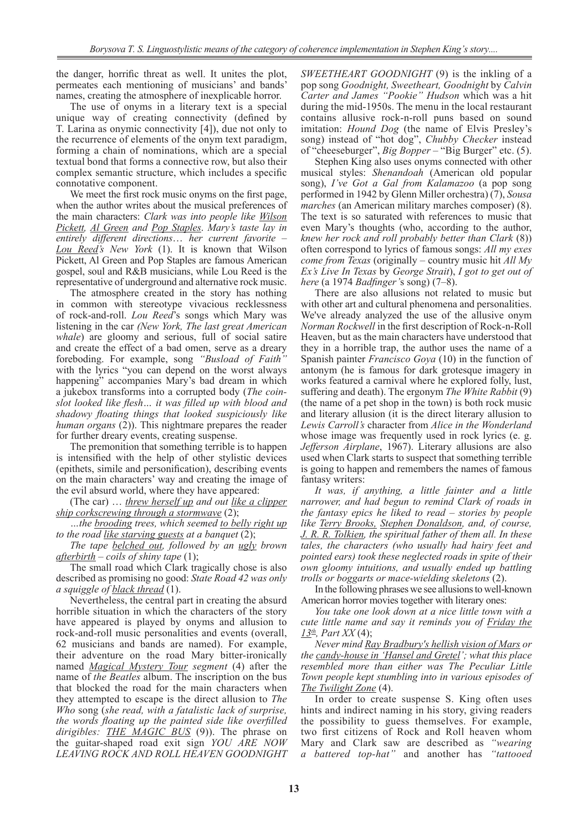the danger, horrific threat as well. It unites the plot, permeates each mentioning of musicians' and bands' names, creating the atmosphere of inexplicable horror.

The use of onyms in a literary text is a special unique way of creating connectivity (defined by T. Larina as onymic connectivity [4]), due not only to the recurrence of elements of the onym text paradigm, forming a chain of nominations, which are a special textual bond that forms a connective row, but also their complex semantic structure, which includes a specific connotative component.

We meet the first rock music onyms on the first page, when the author writes about the musical preferences of the main characters: *Clark was into people like Wilson Pickett, Al Green and Pop Staples*. *Mary's taste lay in entirely different directions*… *her current favorite – Lou Reed's New York* (1). It is known that Wilson Pickett, Al Green and Pop Staples are famous American gospel, soul and R&B musicians, while Lou Reed is the representative of underground and alternative rock music.

The atmosphere created in the story has nothing in common with stereotype vivacious recklessness of rock-and-roll. *Lou Reed*'s songs which Mary was listening in the car *(New York, The last great American whale*) are gloomy and serious, full of social satire and create the effect of a bad omen, serve as a dreary foreboding. For example, song *"Busload of Faith"* with the lyrics "you can depend on the worst always happening" accompanies Mary's bad dream in which a jukebox transforms into a corrupted body (*The coinslot looked like flesh… it was filled up with blood and shadowy floating things that looked suspiciously like human organs* (2)). This nightmare prepares the reader for further dreary events, creating suspense.

The premonition that something terrible is to happen is intensified with the help of other stylistic devices (epithets, simile and personification), describing events on the main characters' way and creating the image of the evil absurd world, where they have appeared:

(The car) … *threw herself up and out like a clipper ship corkscrewing through a stormwave* (2);

*…the brooding trees, which seemed to belly right up to the road like starving guests at a banquet* (2);

*The tape belched out, followed by an ugly brown afterbirth – coils of shiny tape* (1);

The small road which Clark tragically chose is also described as promising no good: *State Road 42 was only a squiggle of black thread* (1).

Nevertheless, the central part in creating the absurd horrible situation in which the characters of the story have appeared is played by onyms and allusion to rock-and-roll music personalities and events (overall, 62 musicians and bands are named). For example, their adventure on the road Mary bitter-ironically named *Magical Mystery Tour segment* (4) after the name of *the Beatles* album. The inscription on the bus that blocked the road for the main characters when they attempted to escape is the direct allusion to *The Who* song (*she read, with a fatalistic lack of surprise, the words floating up the painted side like overfilled dirigibles: THE MAGIC BUS* (9)). The phrase on the guitar-shaped road exit sign *YOU ARE NOW LEAVING ROCK AND ROLL HEAVEN GOODNIGHT*  *SWEETHEART GOODNIGHT* (9) is the inkling of a pop song *Goodnight, Sweetheart, Goodnight* by *Calvin Carter and James "Pookie" Hudson* which was a hit during the mid-1950s. The menu in the local restaurant contains allusive rock-n-roll puns based on sound imitation: *Hound Dog* (the name of Elvis Presley's song) instead of "hot dog", *Chubby Checker* instead of "cheeseburger", *Big Bopper* – "Big Burger" etc. (5).

Stephen King also uses onyms connected with other musical styles: *Shenandoah* (American old popular song), *I've Got a Gal from Kalamazoo* (a pop song performed in 1942 by Glenn Miller orchestra) (7), *Sousa marches* (an American military marches composer) (8). The text is so saturated with references to music that even Mary's thoughts (who, according to the author, *knew her rock and roll probably better than Clark* (8)) often correspond to lyrics of famous songs: *All my exes come from Texas* (originally – country music hit *All My Ex's Live In Texas* by *George Strait*), *I got to get out of here* (a 1974 *Badfinger'*s song) (7–8).

There are also allusions not related to music but with other art and cultural phenomena and personalities. We've already analyzed the use of the allusive onym *Norman Rockwell* in the first description of Rock-n-Roll Heaven, but as the main characters have understood that they in a horrible trap, the author uses the name of a Spanish painter *Francisco Goya* (10) in the function of antonym (he is famous for dark grotesque imagery in works featured a carnival where he explored folly, lust, suffering and death). The ergonym *The White Rabbit* (9) (the name of a pet shop in the town) is both rock music and literary allusion (it is the direct literary allusion to *Lewis Carroll's* character from *Alice in the Wonderland* whose image was frequently used in rock lyrics (e. g. *Jefferson Airplane*, 1967). Literary allusions are also used when Clark starts to suspect that something terrible is going to happen and remembers the names of famous fantasy writers:

*It was, if anything, a little fainter and a little narrower, and had begun to remind Clark of roads in the fantasy epics he liked to read – stories by people like Terry Brooks, Stephen Donaldson, and, of course, J. R. R. Tolkien, the spiritual father of them all. In these tales, the characters (who usually had hairy feet and pointed ears) took these neglected roads in spite of their own gloomy intuitions, and usually ended up battling trolls or boggarts or mace-wielding skeletons* (2).

In the following phrases we see allusions to well-known American horror movies together with literary ones:

*You take one look down at a nice little town with a cute little name and say it reminds you of Friday the 13th, Part XX* (4);

*Never mind Ray Bradbury's hellish vision of Mars or the candy-house in 'Hansel and Gretel'; what this place resembled more than either was The Peculiar Little Town people kept stumbling into in various episodes of The Twilight Zone* (4).

In order to create suspense S. King often uses hints and indirect naming in his story, giving readers the possibility to guess themselves. For example, two first citizens of Rock and Roll heaven whom Mary and Clark saw are described as *"wearing a battered top-hat"* and another has *"tattooed*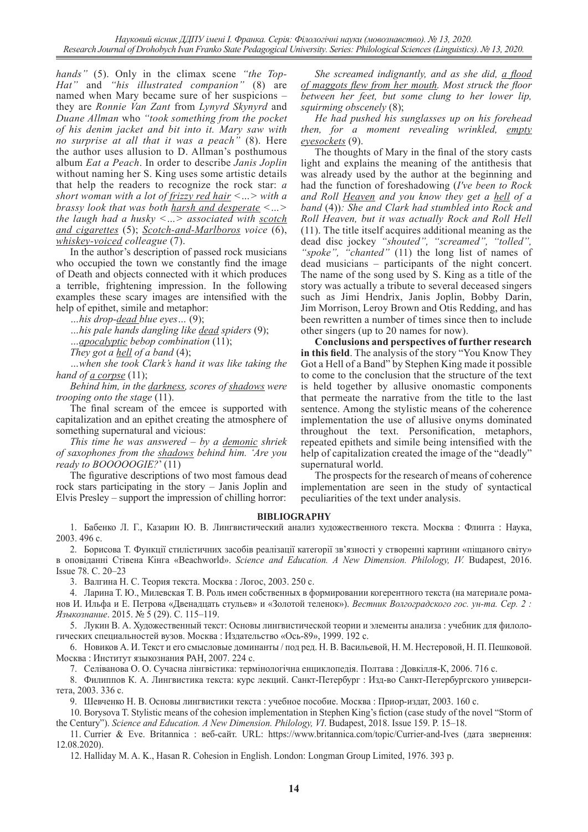*hands"* (5). Only in the climax scene *"the Top-Hat"* and *"his illustrated companion"* (8) are named when Mary became sure of her suspicions – they are *Ronnie Van Zant* from *Lynyrd Skynyrd* and *Duane Allman* who *"took something from the pocket of his denim jacket and bit into it. Mary saw with no surprise at all that it was a peach"* (8). Here the author uses allusion to D. Allman's posthumous album *Eat a Peach*. In order to describe *Janis Joplin* without naming her S. King uses some artistic details that help the readers to recognize the rock star: *a short woman with a lot of frizzy red hair <…> with a brassy look that was both harsh and desperate <…> the laugh had a husky <…> associated with scotch and cigarettes* (5); *Scotch-and-Marlboros voice* (6), *whiskey-voiced colleague* (7).

In the author's description of passed rock musicians who occupied the town we constantly find the image of Death and objects connected with it which produces a terrible, frightening impression. In the following examples these scary images are intensified with the help of epithet, simile and metaphor:

*…his drop-dead blue eyes…* (9);

*…his pale hands dangling like dead spiders* (9);

*…apocalyptic bebop combination* (11);

*They got a hell of a band* (4);

*…when she took Clark's hand it was like taking the hand of <u>a</u> corpse*  $(11)$ ;

*Behind him, in the darkness, scores of shadows were trooping onto the stage* (11).

The final scream of the emcee is supported with capitalization and an epithet creating the atmosphere of something supernatural and vicious:

*This time he was answered – by a demonic shriek of saxophones from the shadows behind him. 'Are you ready to BOOOOOGIE?*' (11)

The figurative descriptions of two most famous dead rock stars participating in the story – Janis Joplin and Elvis Presley – support the impression of chilling horror:

*She screamed indignantly, and as she did, a flood of maggots flew from her mouth. Most struck the floor between her feet, but some clung to her lower lip, squirming obscenely* (8);

*He had pushed his sunglasses up on his forehead then, for a moment revealing wrinkled, empty eyesockets* (9).

The thoughts of Mary in the final of the story casts light and explains the meaning of the antithesis that was already used by the author at the beginning and had the function of foreshadowing (*I've been to Rock and Roll Heaven and you know they get a hell of a band* (4))*: She and Clark had stumbled into Rock and Roll Heaven, but it was actually Rock and Roll Hell*  (11). The title itself acquires additional meaning as the dead disc jockey *"shouted", "screamed", "tolled", "spoke", "chanted"* (11) the long list of names of dead musicians – participants of the night concert. The name of the song used by S. King as a title of the story was actually a tribute to several deceased singers such as Jimi Hendrix, Janis Joplin, Bobby Darin, Jim Morrison, Leroy Brown and Otis Redding, and has been rewritten a number of times since then to include other singers (up to 20 names for now).

**Conclusions and perspectives of further research in this field**. The analysis of the story "You Know They Got a Hell of a Band" by Stephen King made it possible to come to the conclusion that the structure of the text is held together by allusive onomastic components that permeate the narrative from the title to the last sentence. Among the stylistic means of the coherence implementation the use of allusive onyms dominated throughout the text. Personification, metaphors, repeated epithets and simile being intensified with the help of capitalization created the image of the "deadly" supernatural world.

The prospects for the research of means of coherence implementation are seen in the study of syntactical peculiarities of the text under analysis.

#### **BIBLIOGRAPHY**

1. Бабенко Л. Г., Казарин Ю. В. Лингвистический анализ художественного текста. Москва : Флинта : Наука, 2003. 496 с.

2. Борисова Т. Функції стилістичних засобів реалізації категорії зв'язності у створенні картини «піщаного світу» в оповіданні Стівена Кінга «Beachworld». *Science and Education. A New Dimension. Philology, IV.* Budapest, 2016. Issue 78. С. 20–23

3. Валгина Н. С. Теория текста. Москва : Логос, 2003. 250 с.

4. Ларина Т. Ю., Милевская Т. В. Роль имен собственных в формировании когерентного текста (на материале романов И. Ильфа и Е. Петрова «Двенадцать стульев» и «Золотой теленок»). *Вестник Волгоградского гос. ун-та. Сер. 2 : Языкознание*. 2015. № 5 (29). С. 115–119.

5. Лукин В. А. Художественный текст: Основы лингвистической теории и элементы анализа : учебник для филологических специальностей вузов. Москва : Издательство «Ось-89», 1999. 192 с.

6. Новиков А. И. Текст и его смысловые доминанты / под ред. Н. В. Васильевой, Н. М. Нестеровой, Н. П. Пешковой. Москва : Институт языкознания РАН, 2007. 224 с.

7. Селіванова О. О. Сучасна лінгвістика: термінологічна енциклопедія. Полтава : Довкілля-К, 2006. 716 с.

8. Филиппов К. А. Лингвистика текста: курс лекций. Санкт-Петербург : Изд-во Санкт-Петербургского университета, 2003. 336 с.

9. Шевченко Н. В. Основы лингвистики текста : учебное пособие. Москва : Приор-издат, 2003. 160 с.

10. Borysova T. Stylistic means of the cohesion implementation in Stephen King's fiction (case study of the novel "Storm of the Century"). *Science and Education. A New Dimension. Philology, VI*. Budapest, 2018. Issue 159. P. 15–18.

11. Currier & Eve. Britannica : веб-сайт. URL: https://www.britannica.com/topic/Currier-and-Ives (дата звернення: 12.08.2020).

12. Halliday M. A. K., Hasan R. Cohesion in English. London: Longman Group Limited, 1976. 393 p.